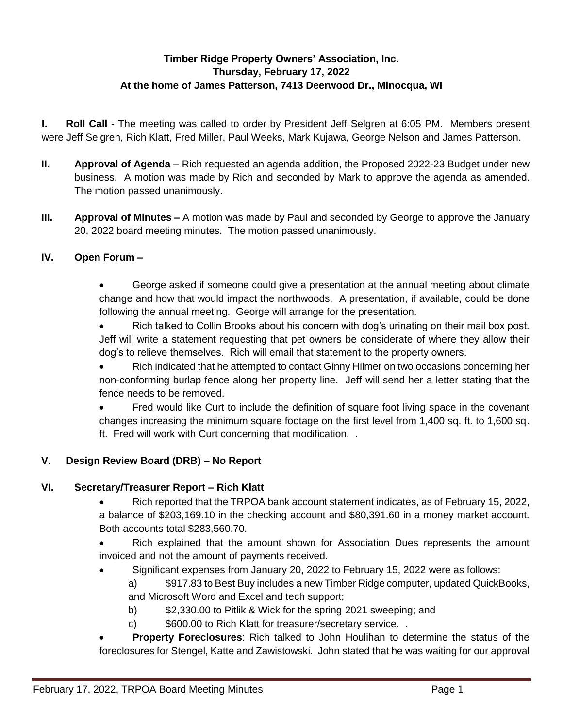# **Timber Ridge Property Owners' Association, Inc. Thursday, February 17, 2022 At the home of James Patterson, 7413 Deerwood Dr., Minocqua, WI**

**I. Roll Call -** The meeting was called to order by President Jeff Selgren at 6:05 PM. Members present were Jeff Selgren, Rich Klatt, Fred Miller, Paul Weeks, Mark Kujawa, George Nelson and James Patterson.

- **II. Approval of Agenda –** Rich requested an agenda addition, the Proposed 2022-23 Budget under new business.A motion was made by Rich and seconded by Mark to approve the agenda as amended. The motion passed unanimously.
- **III. Approval of Minutes –** A motion was made by Paul and seconded by George to approve the January 20, 2022 board meeting minutes. The motion passed unanimously.

## **IV. Open Forum –**

 George asked if someone could give a presentation at the annual meeting about climate change and how that would impact the northwoods. A presentation, if available, could be done following the annual meeting. George will arrange for the presentation.

 Rich talked to Collin Brooks about his concern with dog's urinating on their mail box post. Jeff will write a statement requesting that pet owners be considerate of where they allow their dog's to relieve themselves. Rich will email that statement to the property owners.

 Rich indicated that he attempted to contact Ginny Hilmer on two occasions concerning her non-conforming burlap fence along her property line. Jeff will send her a letter stating that the fence needs to be removed.

 Fred would like Curt to include the definition of square foot living space in the covenant changes increasing the minimum square footage on the first level from 1,400 sq. ft. to 1,600 sq. ft. Fred will work with Curt concerning that modification. .

### **V. Design Review Board (DRB) – No Report**

### **VI. Secretary/Treasurer Report – Rich Klatt**

- Rich reported that the TRPOA bank account statement indicates, as of February 15, 2022, a balance of \$203,169.10 in the checking account and \$80,391.60 in a money market account. Both accounts total \$283,560.70.
- Rich explained that the amount shown for Association Dues represents the amount invoiced and not the amount of payments received.
	- Significant expenses from January 20, 2022 to February 15, 2022 were as follows:
		- a) \$917.83 to Best Buy includes a new Timber Ridge computer, updated QuickBooks, and Microsoft Word and Excel and tech support;
			- b) \$2,330.00 to Pitlik & Wick for the spring 2021 sweeping; and
			- c) \$600.00 to Rich Klatt for treasurer/secretary service. .
- **Property Foreclosures**: Rich talked to John Houlihan to determine the status of the foreclosures for Stengel, Katte and Zawistowski. John stated that he was waiting for our approval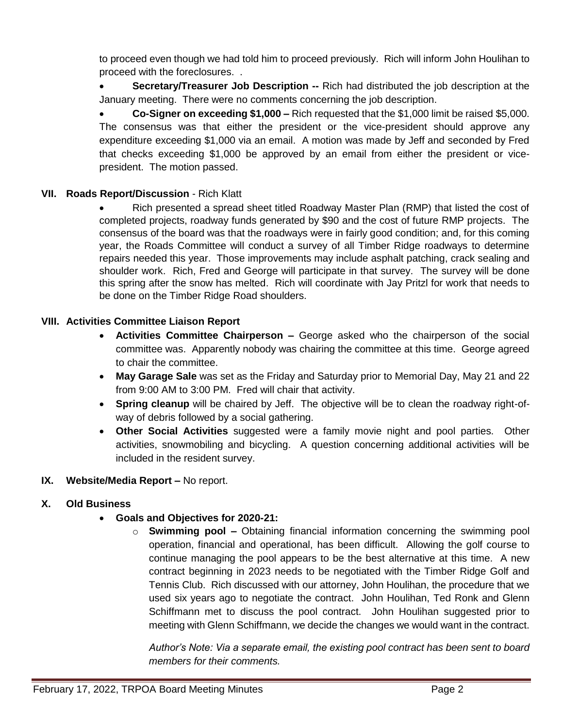to proceed even though we had told him to proceed previously. Rich will inform John Houlihan to proceed with the foreclosures. .

**Secretary/Treasurer Job Description --** Rich had distributed the job description at the January meeting. There were no comments concerning the job description.

 **Co-Signer on exceeding \$1,000 –** Rich requested that the \$1,000 limit be raised \$5,000. The consensus was that either the president or the vice-president should approve any expenditure exceeding \$1,000 via an email. A motion was made by Jeff and seconded by Fred that checks exceeding \$1,000 be approved by an email from either the president or vicepresident. The motion passed.

## **VII. Roads Report/Discussion** - Rich Klatt

 Rich presented a spread sheet titled Roadway Master Plan (RMP) that listed the cost of completed projects, roadway funds generated by \$90 and the cost of future RMP projects. The consensus of the board was that the roadways were in fairly good condition; and, for this coming year, the Roads Committee will conduct a survey of all Timber Ridge roadways to determine repairs needed this year. Those improvements may include asphalt patching, crack sealing and shoulder work. Rich, Fred and George will participate in that survey. The survey will be done this spring after the snow has melted. Rich will coordinate with Jay Pritzl for work that needs to be done on the Timber Ridge Road shoulders.

### **VIII. Activities Committee Liaison Report**

- **Activities Committee Chairperson –** George asked who the chairperson of the social committee was. Apparently nobody was chairing the committee at this time. George agreed to chair the committee.
- **May Garage Sale** was set as the Friday and Saturday prior to Memorial Day, May 21 and 22 from 9:00 AM to 3:00 PM. Fred will chair that activity.
- **Spring cleanup** will be chaired by Jeff. The objective will be to clean the roadway right-ofway of debris followed by a social gathering.
- **Other Social Activities** suggested were a family movie night and pool parties. Other activities, snowmobiling and bicycling. A question concerning additional activities will be included in the resident survey.

### **IX. Website/Media Report –** No report.

### **X. Old Business**

### **Goals and Objectives for 2020-21:**

o **Swimming pool –** Obtaining financial information concerning the swimming pool operation, financial and operational, has been difficult. Allowing the golf course to continue managing the pool appears to be the best alternative at this time. A new contract beginning in 2023 needs to be negotiated with the Timber Ridge Golf and Tennis Club. Rich discussed with our attorney, John Houlihan, the procedure that we used six years ago to negotiate the contract. John Houlihan, Ted Ronk and Glenn Schiffmann met to discuss the pool contract. John Houlihan suggested prior to meeting with Glenn Schiffmann, we decide the changes we would want in the contract.

*Author's Note: Via a separate email, the existing pool contract has been sent to board members for their comments.*